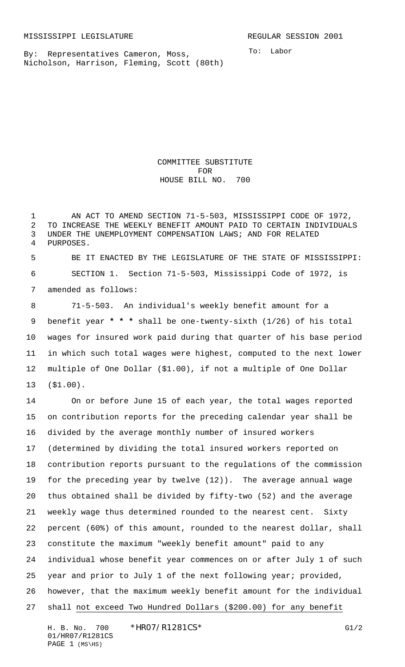By: Representatives Cameron, Moss, Nicholson, Harrison, Fleming, Scott (80th) To: Labor

COMMITTEE SUBSTITUTE FOR HOUSE BILL NO. 700

 AN ACT TO AMEND SECTION 71-5-503, MISSISSIPPI CODE OF 1972, TO INCREASE THE WEEKLY BENEFIT AMOUNT PAID TO CERTAIN INDIVIDUALS UNDER THE UNEMPLOYMENT COMPENSATION LAWS; AND FOR RELATED PURPOSES.

 BE IT ENACTED BY THE LEGISLATURE OF THE STATE OF MISSISSIPPI: SECTION 1. Section 71-5-503, Mississippi Code of 1972, is amended as follows:

 71-5-503. An individual's weekly benefit amount for a benefit year **\* \* \*** shall be one-twenty-sixth (1/26) of his total wages for insured work paid during that quarter of his base period in which such total wages were highest, computed to the next lower multiple of One Dollar (\$1.00), if not a multiple of One Dollar (\$1.00).

 On or before June 15 of each year, the total wages reported on contribution reports for the preceding calendar year shall be divided by the average monthly number of insured workers (determined by dividing the total insured workers reported on contribution reports pursuant to the regulations of the commission for the preceding year by twelve (12)). The average annual wage thus obtained shall be divided by fifty-two (52) and the average weekly wage thus determined rounded to the nearest cent. Sixty percent (60%) of this amount, rounded to the nearest dollar, shall constitute the maximum "weekly benefit amount" paid to any individual whose benefit year commences on or after July 1 of such year and prior to July 1 of the next following year; provided, however, that the maximum weekly benefit amount for the individual shall not exceed Two Hundred Dollars (\$200.00) for any benefit

H. B. No. 700 \*HRO7/R1281CS\* G1/2 01/HR07/R1281CS PAGE (MS\HS)